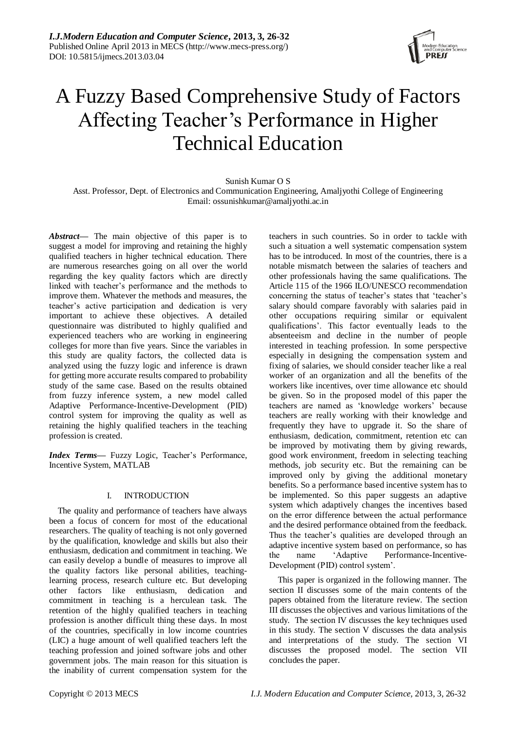

# A Fuzzy Based Comprehensive Study of Factors Affecting Teacher"s Performance in Higher Technical Education

## Sunish Kumar O S

Asst. Professor, Dept. of Electronics and Communication Engineering, Amaljyothi College of Engineering Email: ossunishkumar@amaljyothi.ac.in

*Abstract***—** The main objective of this paper is to suggest a model for improving and retaining the highly qualified teachers in higher technical education. There are numerous researches going on all over the world regarding the key quality factors which are directly linked with teacher"s performance and the methods to improve them. Whatever the methods and measures, the teacher"s active participation and dedication is very important to achieve these objectives. A detailed questionnaire was distributed to highly qualified and experienced teachers who are working in engineering colleges for more than five years. Since the variables in this study are quality factors, the collected data is analyzed using the fuzzy logic and inference is drawn for getting more accurate results compared to probability study of the same case. Based on the results obtained from fuzzy inference system, a new model called Adaptive Performance-Incentive-Development (PID) control system for improving the quality as well as retaining the highly qualified teachers in the teaching profession is created.

Index Terms- Fuzzy Logic, Teacher's Performance, Incentive System, MATLAB

#### I. INTRODUCTION

The quality and performance of teachers have always been a focus of concern for most of the educational researchers. The quality of teaching is not only governed by the qualification, knowledge and skills but also their enthusiasm, dedication and commitment in teaching. We can easily develop a bundle of measures to improve all the quality factors like personal abilities, teachinglearning process, research culture etc. But developing other factors like enthusiasm, dedication and commitment in teaching is a herculean task. The retention of the highly qualified teachers in teaching profession is another difficult thing these days. In most of the countries, specifically in low income countries (LIC) a huge amount of well qualified teachers left the teaching profession and joined software jobs and other government jobs. The main reason for this situation is the inability of current compensation system for the

teachers in such countries. So in order to tackle with such a situation a well systematic compensation system has to be introduced. In most of the countries, there is a notable mismatch between the salaries of teachers and other professionals having the same qualifications. The Article 115 of the 1966 ILO/UNESCO recommendation concerning the status of teacher's states that 'teacher's salary should compare favorably with salaries paid in other occupations requiring similar or equivalent qualifications". This factor eventually leads to the absenteeism and decline in the number of people interested in teaching profession. In some perspective especially in designing the compensation system and fixing of salaries, we should consider teacher like a real worker of an organization and all the benefits of the workers like incentives, over time allowance etc should be given. So in the proposed model of this paper the teachers are named as "knowledge workers" because teachers are really working with their knowledge and frequently they have to upgrade it. So the share of enthusiasm, dedication, commitment, retention etc can be improved by motivating them by giving rewards, good work environment, freedom in selecting teaching methods, job security etc. But the remaining can be improved only by giving the additional monetary benefits. So a performance based incentive system has to be implemented. So this paper suggests an adaptive system which adaptively changes the incentives based on the error difference between the actual performance and the desired performance obtained from the feedback. Thus the teacher's qualities are developed through an adaptive incentive system based on performance, so has the name "Adaptive Performance-Incentive-Development (PID) control system".

This paper is organized in the following manner. The section II discusses some of the main contents of the papers obtained from the literature review. The section III discusses the objectives and various limitations of the study. The section IV discusses the key techniques used in this study. The section V discusses the data analysis and interpretations of the study. The section VI discusses the proposed model. The section VII concludes the paper.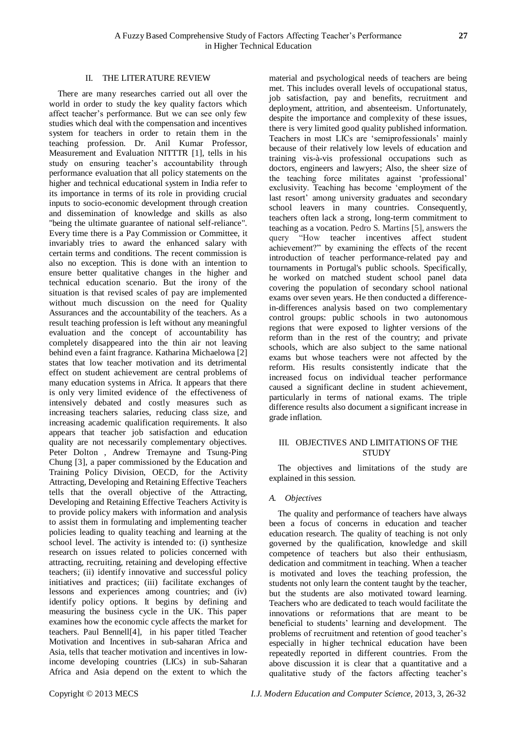#### II. THE LITERATURE REVIEW

There are many researches carried out all over the world in order to study the key quality factors which affect teacher"s performance. But we can see only few studies which deal with the compensation and incentives system for teachers in order to retain them in the teaching profession. Dr. Anil Kumar Professor, Measurement and Evaluation NITTTR [1], tells in his study on ensuring teacher"s accountability through performance evaluation that all policy statements on the higher and technical educational system in India refer to its importance in terms of its role in providing crucial inputs to socio-economic development through creation and dissemination of knowledge and skills as also "being the ultimate guarantee of national self-reliance". Every time there is a Pay Commission or Committee, it invariably tries to award the enhanced salary with certain terms and conditions. The recent commission is also no exception. This is done with an intention to ensure better qualitative changes in the higher and technical education scenario. But the irony of the situation is that revised scales of pay are implemented without much discussion on the need for Quality Assurances and the accountability of the teachers. As a result teaching profession is left without any meaningful evaluation and the concept of accountability has completely disappeared into the thin air not leaving behind even a faint fragrance. Katharina Michaelowa [2] states that low teacher motivation and its detrimental effect on student achievement are central problems of many education systems in Africa. It appears that there is only very limited evidence of the effectiveness of intensively debated and costly measures such as increasing teachers salaries, reducing class size, and increasing academic qualification requirements. It also appears that teacher job satisfaction and education quality are not necessarily complementary objectives. Peter Dolton , Andrew Tremayne and Tsung-Ping Chung [3], a paper commissioned by the Education and Training Policy Division, OECD, for the Activity Attracting, Developing and Retaining Effective Teachers tells that the overall objective of the Attracting, Developing and Retaining Effective Teachers Activity is to provide policy makers with information and analysis to assist them in formulating and implementing teacher policies leading to quality teaching and learning at the school level. The activity is intended to: (i) synthesize research on issues related to policies concerned with attracting, recruiting, retaining and developing effective teachers; (ii) identify innovative and successful policy initiatives and practices; (iii) facilitate exchanges of lessons and experiences among countries; and (iv) identify policy options. It begins by defining and measuring the business cycle in the UK. This paper examines how the economic cycle affects the market for teachers. Paul Bennell[4], in his paper titled Teacher Motivation and Incentives in sub-saharan Africa and Asia, tells that teacher motivation and incentives in lowincome developing countries (LICs) in sub-Saharan Africa and Asia depend on the extent to which the

material and psychological needs of teachers are being met. This includes overall levels of occupational status, job satisfaction, pay and benefits, recruitment and deployment, attrition, and absenteeism. Unfortunately, despite the importance and complexity of these issues, there is very limited good quality published information. Teachers in most LICs are "semiprofessionals" mainly because of their relatively low levels of education and training vis-à-vis professional occupations such as doctors, engineers and lawyers; Also, the sheer size of the teaching force militates against "professional" exclusivity. Teaching has become "employment of the last resort' among university graduates and secondary school leavers in many countries. Consequently, teachers often lack a strong, long-term commitment to teaching as a vocation. Pedro S. Martins [5], answers the query "How teacher incentives affect student achievement?" by examining the effects of the recent introduction of teacher performance-related pay and tournaments in Portugal's public schools. Specifically, he worked on matched student school panel data covering the population of secondary school national exams over seven years. He then conducted a differencein-differences analysis based on two complementary control groups: public schools in two autonomous regions that were exposed to lighter versions of the reform than in the rest of the country; and private schools, which are also subject to the same national exams but whose teachers were not affected by the reform. His results consistently indicate that the increased focus on individual teacher performance caused a significant decline in student achievement, particularly in terms of national exams. The triple difference results also document a significant increase in grade inflation.

#### III. OBJECTIVES AND LIMITATIONS OF THE **STUDY**

The objectives and limitations of the study are explained in this session.

#### *A. Objectives*

The quality and performance of teachers have always been a focus of concerns in education and teacher education research. The quality of teaching is not only governed by the qualification, knowledge and skill competence of teachers but also their enthusiasm, dedication and commitment in teaching. When a teacher is motivated and loves the teaching profession, the students not only learn the content taught by the teacher, but the students are also motivated toward learning. Teachers who are dedicated to teach would facilitate the innovations or reformations that are meant to be beneficial to students" learning and development. The problems of recruitment and retention of good teacher"s especially in higher technical education have been repeatedly reported in different countries. From the above discussion it is clear that a quantitative and a qualitative study of the factors affecting teacher"s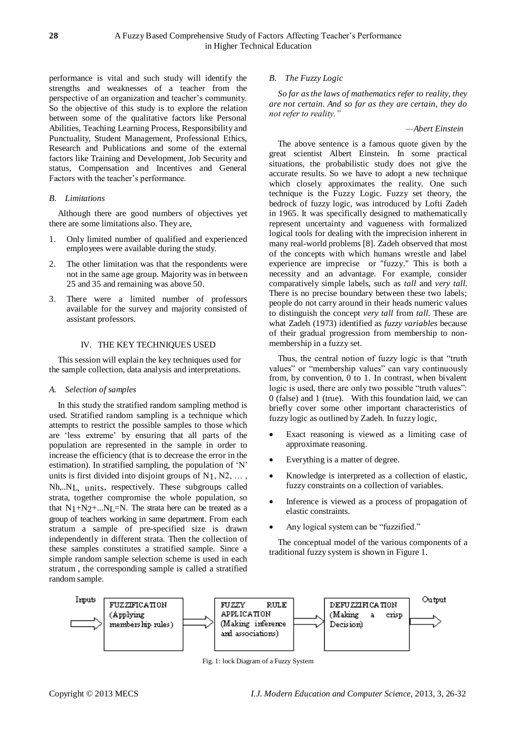performance is vital and such study will identify the strengths and weaknesses of a teacher from the perspective of an organization and teacher"s community. So the objective of this study is to explore the relation between some of the qualitative factors like Personal Abilities, Teaching Learning Process, Responsibility and Punctuality, Student Management, Professional Ethics, Research and Publications and some of the external factors like Training and Development, Job Security and status, Compensation and Incentives and General Factors with the teacher's performance.

#### *B. Limitations*

Although there are good numbers of objectives yet there are some limitations also. They are,

- 1. Only limited number of qualified and experienced employees were available during the study.
- 2. The other limitation was that the respondents were not in the same age group. Majority was in between 25 and 35 and remaining was above 50.
- 3. There were a limited number of professors available for the survey and majority consisted of assistant professors.

## IV. THE KEY TECHNIQUES USED

This session will explain the key techniques used for the sample collection, data analysis and interpretations.

#### *A. Selection of samples*

In this study the stratified random sampling method is used. Stratified random sampling is a technique which attempts to restrict the possible samples to those which are "less extreme" by ensuring that all parts of the population are represented in the sample in order to increase the efficiency (that is to decrease the error in the estimation). In stratified sampling, the population of 'N' units is first divided into disjoint groups of  $N_1, N_2, \ldots$ , Nh,..NL, units, respectively. These subgroups called strata, together compromise the whole population, so that  $N_1+N_2+...N_l=N$ . The strata here can be treated as a group of teachers working in same department. From each stratum a sample of pre-specified size is drawn independently in different strata. Then the collection of these samples constitutes a stratified sample. Since a simple random sample selection scheme is used in each stratum , the corresponding sample is called a stratified random sample.

## *B. The Fuzzy Logic*

*So far as the laws of mathematics refer to reality, they are not certain. And so far as they are certain, they do not refer to reality."*

#### *—Abert Einstein*

The above sentence is a famous quote given by the great scientist Albert Einstein. In some practical situations, the probabilistic study does not give the accurate results. So we have to adopt a new technique which closely approximates the reality. One such technique is the Fuzzy Logic. Fuzzy set theory, the bedrock of fuzzy logic, was introduced by Lofti Zadeh in 1965. It was specifically designed to mathematically represent uncertainty and vagueness with formalized logical tools for dealing with the imprecision inherent in many real-world problems [8]. Zadeh observed that most of the concepts with which humans wrestle and label experience are imprecise or "fuzzy." This is both a necessity and an advantage. For example, consider comparatively simple labels, such as *tall* and *very tall.*  There is no precise boundary between these two labels; people do not carry around in their heads numeric values to distinguish the concept *very tall* from *tall.* These are what Zadeh (1973) identified as *fuzzy variables* because of their gradual progression from membership to nonmembership in a fuzzy set.

Thus, the central notion of fuzzy logic is that "truth values" or "membership values" can vary continuously from, by convention, 0 to 1. In contrast, when bivalent logic is used, there are only two possible "truth values": 0 (false) and 1 (true). With this foundation laid, we can briefly cover some other important characteristics of fuzzy logic as outlined by Zadeh. In fuzzy logic,

- Exact reasoning is viewed as a limiting case of approximate reasoning.
- Everything is a matter of degree.
- Knowledge is interpreted as a collection of elastic, fuzzy constraints on a collection of variables.
- Inference is viewed as a process of propagation of elastic constraints.
- Any logical system can be "fuzzified."

The conceptual model of the various components of a traditional fuzzy system is shown in Figure 1.



Fig. 1: lock Diagram of a Fuzzy System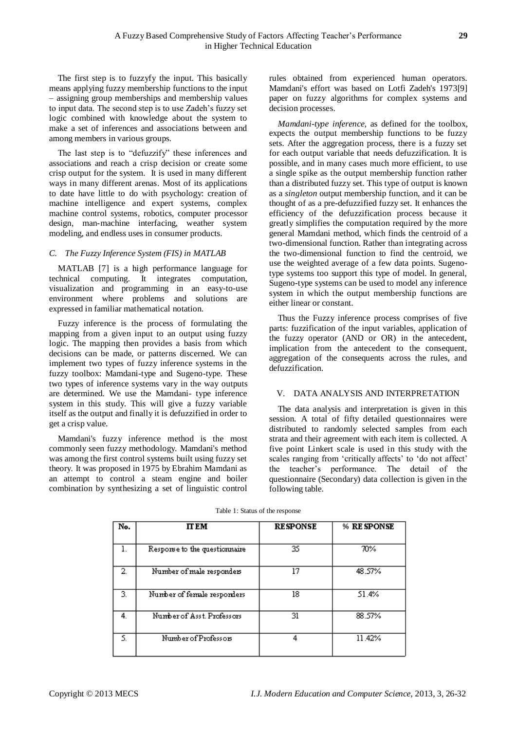The first step is to fuzzyfy the input. This basically means applying fuzzy membership functions to the input – assigning group memberships and membership values to input data. The second step is to use Zadeh"s fuzzy set logic combined with knowledge about the system to make a set of inferences and associations between and among members in various groups.

The last step is to "defuzzify" these inferences and associations and reach a crisp decision or create some crisp output for the system. It is used in many different ways in many different arenas. Most of its applications to date have little to do with psychology: creation of machine intelligence and expert systems, complex machine control systems, robotics, computer processor design, man-machine interfacing, weather system modeling, and endless uses in consumer products.

## *C. The Fuzzy Inference System (FIS) in MATLAB*

MATLAB [7] is a high performance language for technical computing. It integrates computation, visualization and programming in an easy-to-use environment where problems and solutions are expressed in familiar mathematical notation.

Fuzzy inference is the process of formulating the mapping from a given input to an output using fuzzy logic. The mapping then provides a basis from which decisions can be made, or patterns discerned. We can implement two types of fuzzy inference systems in the fuzzy toolbox: Mamdani-type and Sugeno-type. These two types of inference systems vary in the way outputs are determined. We use the Mamdani- type inference system in this study. This will give a fuzzy variable itself as the output and finally it is defuzzified in order to get a crisp value.

Mamdani's fuzzy inference method is the most commonly seen fuzzy methodology. Mamdani's method was among the first control systems built using fuzzy set theory. It was proposed in 1975 by Ebrahim Mamdani as an attempt to control a steam engine and boiler combination by synthesizing a set of linguistic control rules obtained from experienced human operators. Mamdani's effort was based on Lotfi Zadeh's 1973[9] paper on fuzzy algorithms for complex systems and decision processes.

*Mamdani-type inference*, as defined for the toolbox, expects the output membership functions to be fuzzy sets. After the aggregation process, there is a fuzzy set for each output variable that needs defuzzification. It is possible, and in many cases much more efficient, to use a single spike as the output membership function rather than a distributed fuzzy set. This type of output is known as a *singleton* output membership function, and it can be thought of as a pre-defuzzified fuzzy set. It enhances the efficiency of the defuzzification process because it greatly simplifies the computation required by the more general Mamdani method, which finds the centroid of a two-dimensional function. Rather than integrating across the two-dimensional function to find the centroid, we use the weighted average of a few data points. Sugenotype systems too support this type of model. In general, Sugeno-type systems can be used to model any inference system in which the output membership functions are either linear or constant.

Thus the Fuzzy inference process comprises of five parts: fuzzification of the input variables, application of the fuzzy operator (AND or OR) in the antecedent, implication from the antecedent to the consequent, aggregation of the consequents across the rules, and defuzzification.

### V. DATA ANALYSIS AND INTERPRETATION

The data analysis and interpretation is given in this session. A total of fifty detailed questionnaires were distributed to randomly selected samples from each strata and their agreement with each item is collected. A five point Linkert scale is used in this study with the scales ranging from 'critically affects' to 'do not affect' the teacher"s performance. The detail of the questionnaire (Secondary) data collection is given in the following table.

| No. | <b>IT EM</b>                  | <b>RESPONSE</b> | % RE SPONSE |
|-----|-------------------------------|-----------------|-------------|
| 1.  | Response to the questionnaire | 35              | 70%         |
| 2.  | Number of male responders     | 17              | 48.57%      |
| 3.  | Number of female responders   | 18              | 51.4%       |
| 4.  | Number of Asst. Professors    | 31              | 88.57%      |
| S.  | Number of Professors          | 4               | 11.42%      |

Table 1: Status of the response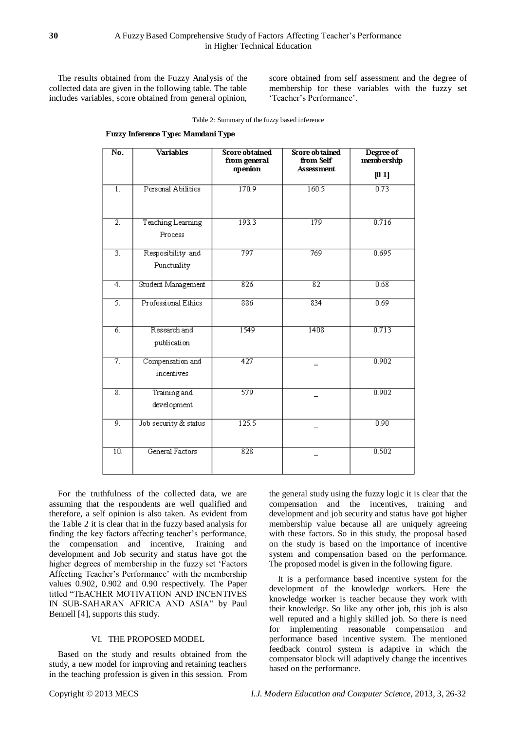The results obtained from the Fuzzy Analysis of the collected data are given in the following table. The table includes variables, score obtained from general opinion, score obtained from self assessment and the degree of membership for these variables with the fuzzy set 'Teacher's Performance'.

|  |  |  | Fuzzy Inference Type: Mamdani Type |  |
|--|--|--|------------------------------------|--|
|--|--|--|------------------------------------|--|

| $\overline{No.}$    | <b>Variables</b>                 | Score obtained<br>from general<br>openion | Score ob tained<br>from Self<br><b>Assessment</b> | Degree of<br>membership<br>[01] |
|---------------------|----------------------------------|-------------------------------------------|---------------------------------------------------|---------------------------------|
| 1 <sub>1</sub>      | Personal Abilities               | 170.9                                     | 160.5                                             | 0.73                            |
| $\overline{2}$ .    | Teaching Learning<br>Process     | 193.3                                     | 179                                               | 0.716                           |
| $\overline{3}$ .    | Resposibility and<br>Punctuality | 797                                       | 769                                               | 0.695                           |
| $\overline{4}$ .    | Student Management               | 826                                       | $\overline{82}$                                   | 0.68                            |
| 5.                  | Professional Ethics              | 886                                       | 834                                               | 0.69                            |
| б.                  | Research and<br>publication      | 1549                                      | 1408                                              | 0.713                           |
| $\overline{\tau}$ . | Compensation and<br>incentives   | 427                                       |                                                   | 0.902                           |
| $\overline{8}$ .    | Training and<br>development      | 579                                       |                                                   | 0.902                           |
| 9.                  | Job security & status            | 125.5                                     |                                                   | 0.90                            |
| 10.                 | General Factors                  | $\overline{828}$                          |                                                   | 0.502                           |

For the truthfulness of the collected data, we are assuming that the respondents are well qualified and therefore, a self opinion is also taken. As evident from the Table 2 it is clear that in the fuzzy based analysis for finding the key factors affecting teacher"s performance, the compensation and incentive, Training and development and Job security and status have got the higher degrees of membership in the fuzzy set "Factors Affecting Teacher's Performance' with the membership values 0.902, 0.902 and 0.90 respectively. The Paper titled "TEACHER MOTIVATION AND INCENTIVES IN SUB-SAHARAN AFRICA AND ASIA" by Paul Bennell [4], supports this study.

## VI. THE PROPOSED MODEL

Based on the study and results obtained from the study, a new model for improving and retaining teachers in the teaching profession is given in this session. From the general study using the fuzzy logic it is clear that the compensation and the incentives, training and development and job security and status have got higher membership value because all are uniquely agreeing with these factors. So in this study, the proposal based on the study is based on the importance of incentive system and compensation based on the performance. The proposed model is given in the following figure.

It is a performance based incentive system for the development of the knowledge workers. Here the knowledge worker is teacher because they work with their knowledge. So like any other job, this job is also well reputed and a highly skilled job. So there is need for implementing reasonable compensation and performance based incentive system. The mentioned feedback control system is adaptive in which the compensator block will adaptively change the incentives based on the performance.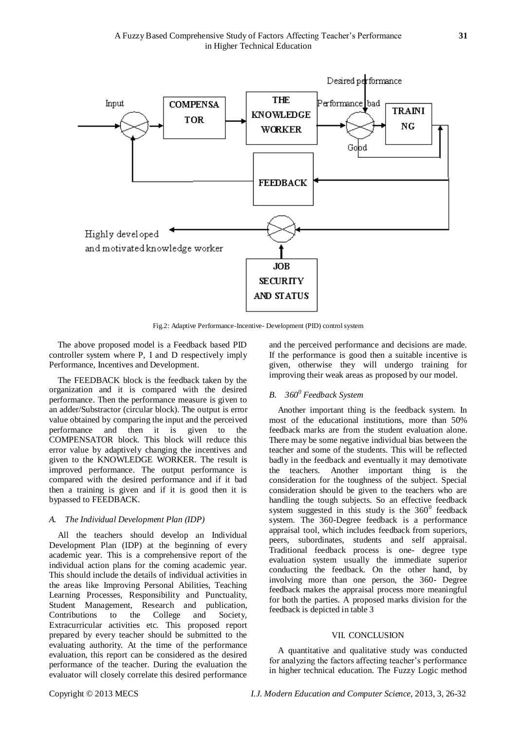

Fig.2: Adaptive Performance-Incentive- Development (PID) control system

The above proposed model is a Feedback based PID controller system where P, I and D respectively imply Performance, Incentives and Development.

The FEEDBACK block is the feedback taken by the organization and it is compared with the desired performance. Then the performance measure is given to an adder/Substractor (circular block). The output is error value obtained by comparing the input and the perceived performance and then it is given to the COMPENSATOR block. This block will reduce this error value by adaptively changing the incentives and given to the KNOWLEDGE WORKER. The result is improved performance. The output performance is compared with the desired performance and if it bad then a training is given and if it is good then it is bypassed to FEEDBACK.

## *A. The Individual Development Plan (IDP)*

All the teachers should develop an Individual Development Plan (IDP) at the beginning of every academic year. This is a comprehensive report of the individual action plans for the coming academic year. This should include the details of individual activities in the areas like Improving Personal Abilities, Teaching Learning Processes, Responsibility and Punctuality, Student Management, Research and publication, Contributions to the College and Society, Extracurricular activities etc. This proposed report prepared by every teacher should be submitted to the evaluating authority. At the time of the performance evaluation, this report can be considered as the desired performance of the teacher. During the evaluation the evaluator will closely correlate this desired performance and the perceived performance and decisions are made. If the performance is good then a suitable incentive is given, otherwise they will undergo training for improving their weak areas as proposed by our model.

## *B. 360<sup>0</sup> Feedback System*

Another important thing is the feedback system. In most of the educational institutions, more than 50% feedback marks are from the student evaluation alone. There may be some negative individual bias between the teacher and some of the students. This will be reflected badly in the feedback and eventually it may demotivate the teachers. Another important thing is the consideration for the toughness of the subject. Special consideration should be given to the teachers who are handling the tough subjects. So an effective feedback system suggested in this study is the  $360^{\circ}$  feedback system. The 360-Degree feedback is a performance appraisal tool, which includes feedback from superiors, peers, subordinates, students and self appraisal. Traditional feedback process is one- degree type evaluation system usually the immediate superior conducting the feedback. On the other hand, by involving more than one person, the 360- Degree feedback makes the appraisal process more meaningful for both the parties. A proposed marks division for the feedback is depicted in table 3

#### VII. CONCLUSION

A quantitative and qualitative study was conducted for analyzing the factors affecting teacher"s performance in higher technical education. The Fuzzy Logic method